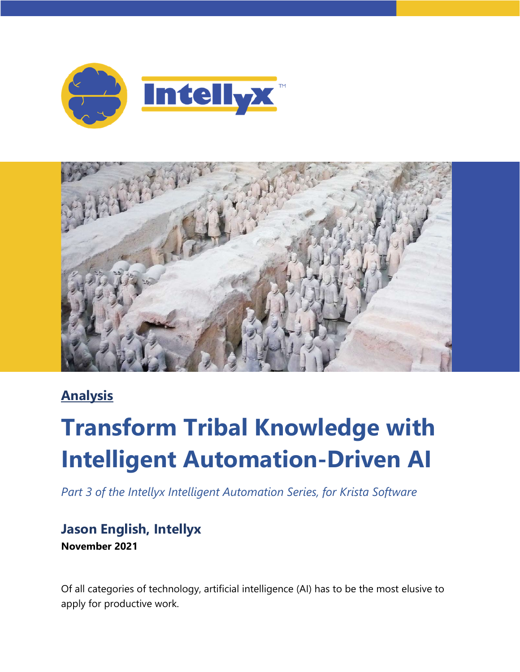



### **Analysis**

# **Transform Tribal Knowledge with Intelligent Automation-Driven AI**

*Part 3 of the Intellyx Intelligent Automation Series, for Krista Software*

#### **Jason English, Intellyx November 2021**

Of all categories of technology, artificial intelligence (AI) has to be the most elusive to apply for productive work.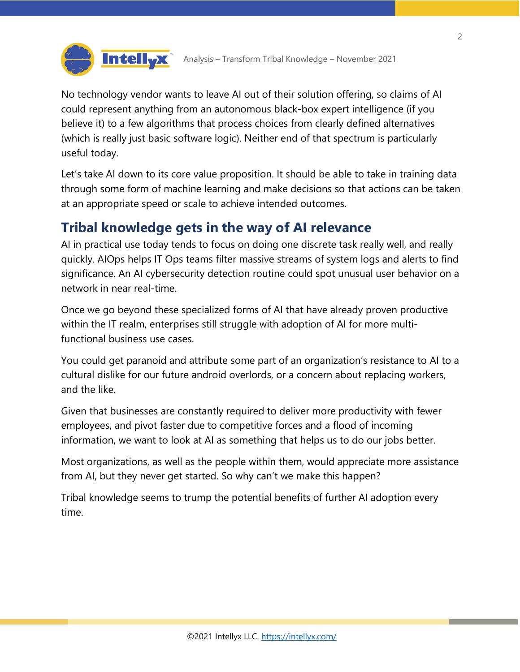

No technology vendor wants to leave AI out of their solution offering, so claims of AI could represent anything from an autonomous black-box expert intelligence (if you believe it) to a few algorithms that process choices from clearly defined alternatives (which is really just basic software logic). Neither end of that spectrum is particularly useful today.

Let's take AI down to its core value proposition. It should be able to take in training data through some form of machine learning and make decisions so that actions can be taken at an appropriate speed or scale to achieve intended outcomes.

#### **Tribal knowledge gets in the way of AI relevance**

AI in practical use today tends to focus on doing one discrete task really well, and really quickly. AIOps helps IT Ops teams filter massive streams of system logs and alerts to find significance. An AI cybersecurity detection routine could spot unusual user behavior on a network in near real-time.

Once we go beyond these specialized forms of AI that have already proven productive within the IT realm, enterprises still struggle with adoption of AI for more multifunctional business use cases.

You could get paranoid and attribute some part of an organization's resistance to AI to a cultural dislike for our future android overlords, or a concern about replacing workers, and the like.

Given that businesses are constantly required to deliver more productivity with fewer employees, and pivot faster due to competitive forces and a flood of incoming information, we want to look at AI as something that helps us to do our jobs better.

Most organizations, as well as the people within them, would appreciate more assistance from AI, but they never get started. So why can't we make this happen?

Tribal knowledge seems to trump the potential benefits of further AI adoption every time.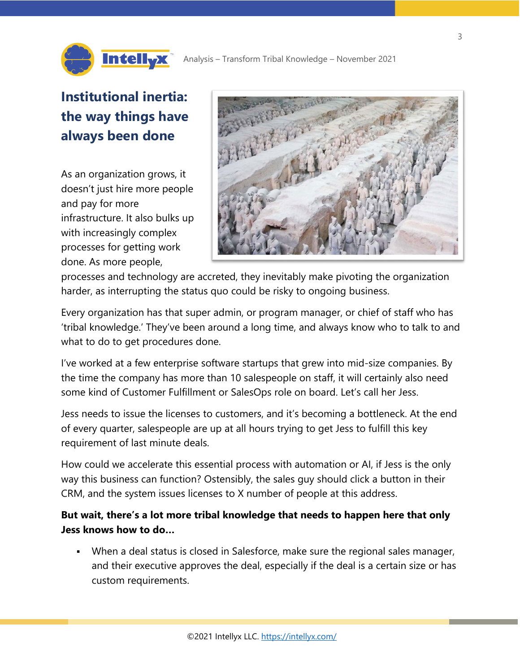

## **Institutional inertia: the way things have always been done**

**IntellyX** 

As an organization grows, it doesn't just hire more people and pay for more infrastructure. It also bulks up with increasingly complex processes for getting work done. As more people,



processes and technology are accreted, they inevitably make pivoting the organization harder, as interrupting the status quo could be risky to ongoing business.

Every organization has that super admin, or program manager, or chief of staff who has 'tribal knowledge.' They've been around a long time, and always know who to talk to and what to do to get procedures done.

I've worked at a few enterprise software startups that grew into mid-size companies. By the time the company has more than 10 salespeople on staff, it will certainly also need some kind of Customer Fulfillment or SalesOps role on board. Let's call her Jess.

Jess needs to issue the licenses to customers, and it's becoming a bottleneck. At the end of every quarter, salespeople are up at all hours trying to get Jess to fulfill this key requirement of last minute deals.

How could we accelerate this essential process with automation or AI, if Jess is the only way this business can function? Ostensibly, the sales guy should click a button in their CRM, and the system issues licenses to X number of people at this address.

**But wait, there's a lot more tribal knowledge that needs to happen here that only Jess knows how to do…** 

 When a deal status is closed in Salesforce, make sure the regional sales manager, and their executive approves the deal, especially if the deal is a certain size or has custom requirements.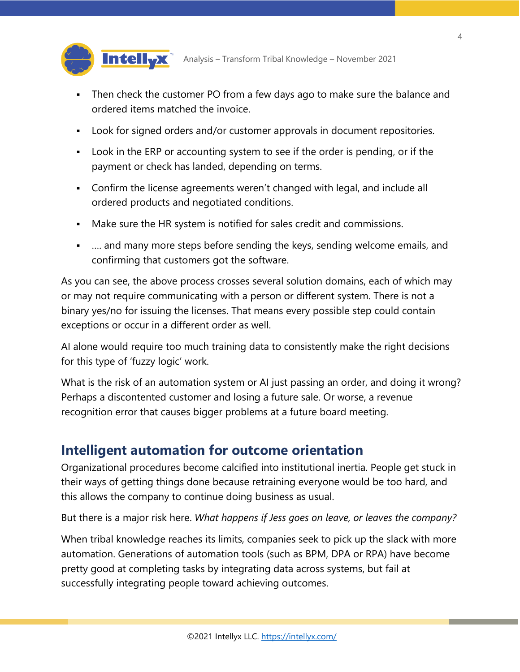

Analysis – Transform Tribal Knowledge – November 2021

- Then check the customer PO from a few days ago to make sure the balance and ordered items matched the invoice.
- Look for signed orders and/or customer approvals in document repositories.
- Look in the ERP or accounting system to see if the order is pending, or if the payment or check has landed, depending on terms.
- Confirm the license agreements weren't changed with legal, and include all ordered products and negotiated conditions.
- Make sure the HR system is notified for sales credit and commissions.
- …. and many more steps before sending the keys, sending welcome emails, and confirming that customers got the software.

As you can see, the above process crosses several solution domains, each of which may or may not require communicating with a person or different system. There is not a binary yes/no for issuing the licenses. That means every possible step could contain exceptions or occur in a different order as well.

AI alone would require too much training data to consistently make the right decisions for this type of 'fuzzy logic' work.

What is the risk of an automation system or AI just passing an order, and doing it wrong? Perhaps a discontented customer and losing a future sale. Or worse, a revenue recognition error that causes bigger problems at a future board meeting.

#### **Intelligent automation for outcome orientation**

Organizational procedures become calcified into institutional inertia. People get stuck in their ways of getting things done because retraining everyone would be too hard, and this allows the company to continue doing business as usual.

But there is a major risk here. *What happens if Jess goes on leave, or leaves the company?*

When tribal knowledge reaches its limits, companies seek to pick up the slack with more automation. Generations of automation tools (such as BPM, DPA or RPA) have become pretty good at completing tasks by integrating data across systems, but fail at successfully integrating people toward achieving outcomes.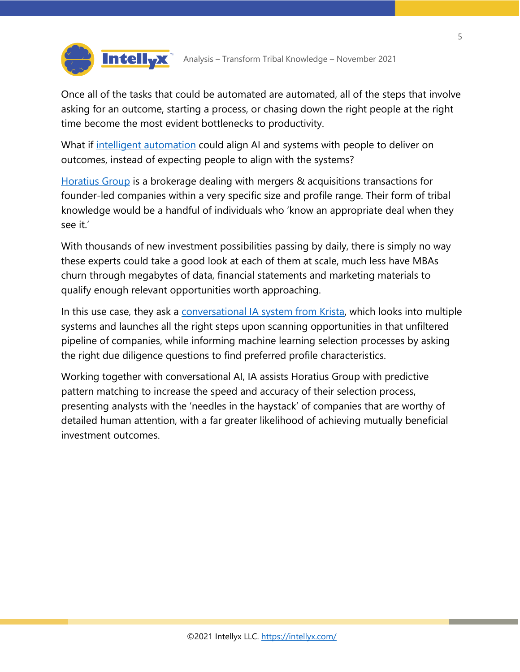

Once all of the tasks that could be automated are automated, all of the steps that involve asking for an outcome, starting a process, or chasing down the right people at the right time become the most evident bottlenecks to productivity.

What if [intelligent automation](https://kristasoft.com/intelligent-automation/) could align AI and systems with people to deliver on outcomes, instead of expecting people to align with the systems?

**IntellyX** 

[Horatius Group](https://kristasoft.com/maximizing-ma-value-using-machine-learning/) is a brokerage dealing with mergers & acquisitions transactions for founder-led companies within a very specific size and profile range. Their form of tribal knowledge would be a handful of individuals who 'know an appropriate deal when they see it.'

With thousands of new investment possibilities passing by daily, there is simply no way these experts could take a good look at each of them at scale, much less have MBAs churn through megabytes of data, financial statements and marketing materials to qualify enough relevant opportunities worth approaching.

In this use case, they ask a [conversational IA system from Krista,](https://kristasoft.com/maximizing-ma-value-using-machine-learning/) which looks into multiple systems and launches all the right steps upon scanning opportunities in that unfiltered pipeline of companies, while informing machine learning selection processes by asking the right due diligence questions to find preferred profile characteristics.

Working together with conversational AI, IA assists Horatius Group with predictive pattern matching to increase the speed and accuracy of their selection process, presenting analysts with the 'needles in the haystack' of companies that are worthy of detailed human attention, with a far greater likelihood of achieving mutually beneficial investment outcomes.